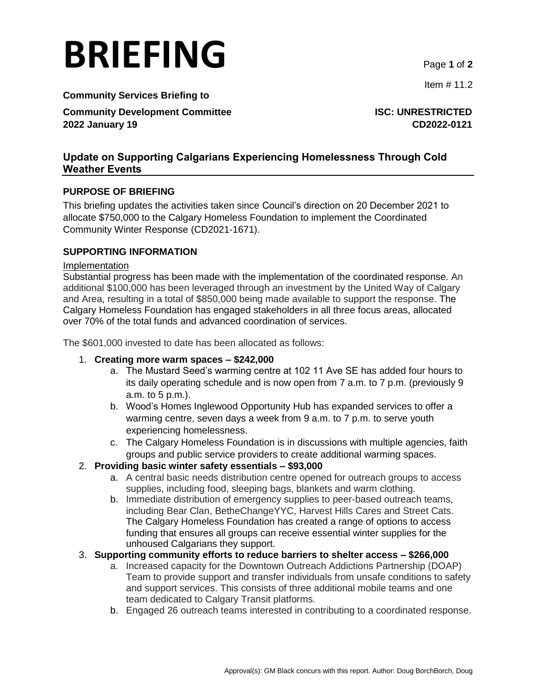# **BRIEFING** Page **<sup>1</sup>** of **<sup>2</sup>**

**Community Services Briefing to**

**Community Development Committee <b>ISC: UNRESTRICTED 2022 January 19 CD2022-0121**

Item # 11.2

# **Update on Supporting Calgarians Experiencing Homelessness Through Cold Weather Events**

# **PURPOSE OF BRIEFING**

This briefing updates the activities taken since Council's direction on 20 December 2021 to allocate \$750,000 to the Calgary Homeless Foundation to implement the Coordinated Community Winter Response (CD2021-1671).

# **SUPPORTING INFORMATION**

#### Implementation

Substantial progress has been made with the implementation of the coordinated response. An additional \$100,000 has been leveraged through an investment by the United Way of Calgary and Area, resulting in a total of \$850,000 being made available to support the response. The Calgary Homeless Foundation has engaged stakeholders in all three focus areas, allocated over 70% of the total funds and advanced coordination of services.

The \$601,000 invested to date has been allocated as follows:

### 1. **Creating more warm spaces – \$242,000**

- a. The Mustard Seed's warming centre at 102 11 Ave SE has added four hours to its daily operating schedule and is now open from 7 a.m. to 7 p.m. (previously 9 a.m. to 5 p.m.).
- b. Wood's Homes Inglewood Opportunity Hub has expanded services to offer a warming centre, seven days a week from 9 a.m. to 7 p.m. to serve youth experiencing homelessness.
- c. The Calgary Homeless Foundation is in discussions with multiple agencies, faith groups and public service providers to create additional warming spaces.

# 2. **Providing basic winter safety essentials – \$93,000**

- a. A central basic needs distribution centre opened for outreach groups to access supplies, including food, sleeping bags, blankets and warm clothing.
- b. Immediate distribution of emergency supplies to peer-based outreach teams, including Bear Clan, BetheChangeYYC, Harvest Hills Cares and Street Cats. The Calgary Homeless Foundation has created a range of options to access funding that ensures all groups can receive essential winter supplies for the unhoused Calgarians they support.

# 3. **Supporting community efforts to reduce barriers to shelter access – \$266,000**

- a. Increased capacity for the Downtown Outreach Addictions Partnership (DOAP) Team to provide support and transfer individuals from unsafe conditions to safety and support services. This consists of three additional mobile teams and one team dedicated to Calgary Transit platforms.
- b. Engaged 26 outreach teams interested in contributing to a coordinated response.